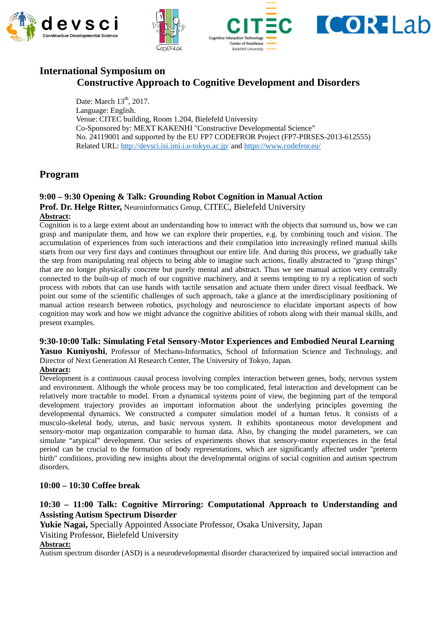







# **International Symposium on Constructive Approach to Cognitive Development and Disorders**

Date: March  $13<sup>th</sup>$ , 2017. Language: English. Venue: CITEC building, Room 1.204, Bielefeld University Co-Sponsored by: MEXT KAKENHI "Constructive Developmental Science" No. 24119001 and supported by the EU FP7 CODEFROR Project (FP7-PIRSES-2013-612555) Related URL:<http://devsci.isi.imi.i.u-tokyo.ac.jp/> and<https://www.codefror.eu/>

# **Program**

# **9:00 – 9:30 Opening & Talk: Grounding Robot Cognition in Manual Action**

**Prof. Dr. Helge Ritter,** Neuroinformatics Group, CITEC, Bielefeld University

## **Abstract:**

Cognition is to a large extent about an understanding how to interact with the objects that surround us, how we can grasp and manipulate them, and how we can explore their properties, e.g. by combining touch and vision. The accumulation of experiences from such interactions and their compilation into increasingly refined manual skills starts from our very first days and continues throughout our entire life. And during this process, we gradually take the step from manipulating real objects to being able to imagine such actions, finally abstracted to "grasp things" that are no longer physically concrete but purely mental and abstract. Thus we see manual action very centrally connected to the built-up of much of our cognitive machinery, and it seems tempting to try a replication of such process with robots that can use hands with tactile sensation and actuate them under direct visual feedback. We point out some of the scientific challenges of such approach, take a glance at the interdisciplinary positioning of manual action research between robotics, psychology and neuroscience to elucidate important aspects of how cognition may work and how we might advance the cognitive abilities of robots along with their manual skills, and present examples.

### **9:30-10:00 Talk: Simulating Fetal Sensory-Motor Experiences and Embodied Neural Learning**

**Yasuo Kuniyoshi**, Professor of Mechano-Informatics, School of Information Science and Technology, and Director of Next Generation AI Research Center, The University of Tokyo, Japan.

### **Abstract:**

Development is a continuous causal process involving complex interaction between genes, body, nervous system and environment. Although the whole process may be too complicated, fetal interaction and development can be relatively more tractable to model. From a dynamical systems point of view, the beginning part of the temporal development trajectory provides an important information about the underlying principles governing the developmental dynamics. We constructed a computer simulation model of a human fetus. It consists of a musculo-skeletal body, uterus, and basic nervous system. It exhibits spontaneous motor development and sensory-motor map organization comparable to human data. Also, by changing the model parameters, we can simulate "atypical" development. Our series of experiments shows that sensory-motor experiences in the fetal period can be crucial to the formation of body representations, which are significantly affected under "preterm birth" conditions, providing new insights about the developmental origins of social cognition and autism spectrum disorders.

## **10:00 – 10:30 Coffee break**

## **10:30 – 11:00 Talk: Cognitive Mirroring: Computational Approach to Understanding and Assisting Autism Spectrum Disorder**

**Yukie Nagai,** Specially Appointed Associate Professor, Osaka University, Japan

Visiting Professor, Bielefeld University

### **Abstract:**

Autism spectrum disorder (ASD) is a neurodevelopmental disorder characterized by impaired social interaction and